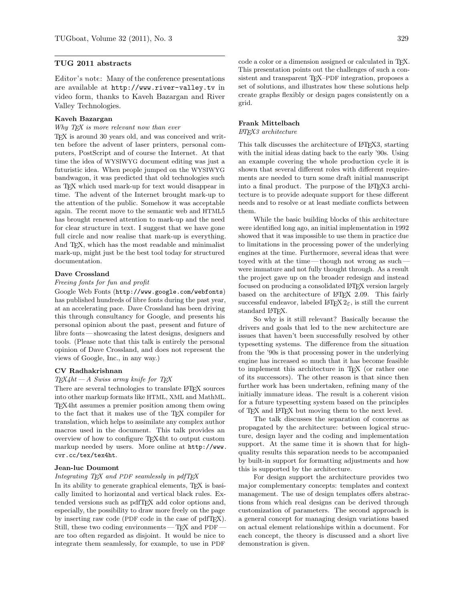# TUG 2011 abstracts

Editor's note: Many of the conference presentations are available at <http://www.river-valley.tv> in video form, thanks to Kaveh Bazargan and River Valley Technologies.

## Kaveh Bazargan

#### Why T<sub>F</sub>X is more relevant now than ever

T<sub>E</sub>X is around 30 years old, and was conceived and written before the advent of laser printers, personal computers, PostScript and of course the Internet. At that time the idea of WYSIWYG document editing was just a futuristic idea. When people jumped on the WYSIWYG bandwagon, it was predicted that old technologies such as TEX which used mark-up for text would disappear in time. The advent of the Internet brought mark-up to the attention of the public. Somehow it was acceptable again. The recent move to the semantic web and HTML5 has brought renewed attention to mark-up and the need for clear structure in text. I suggest that we have gone full circle and now realise that mark-up is everything. And TEX, which has the most readable and minimalist mark-up, might just be the best tool today for structured documentation.

## Dave Crossland

## Freeing fonts for fun and profit

Google Web Fonts (<http://www.google.com/webfonts>) has published hundreds of libre fonts during the past year, at an accelerating pace. Dave Crossland has been driving this through consultancy for Google, and presents his personal opinion about the past, present and future of libre fonts — showcasing the latest designs, designers and tools. (Please note that this talk is entirely the personal opinion of Dave Crossland, and does not represent the views of Google, Inc., in any way.)

### CV Radhakrishnan

### $T_{E}X4ht - A$  Swiss army knife for  $T_{E}X$

There are several technologies to translate LATEX sources into other markup formats like HTML, XML and MathML. TEX4ht assumes a premier position among them owing to the fact that it makes use of the TEX compiler for translation, which helps to assimilate any complex author macros used in the document. This talk provides an overview of how to configure TEX4ht to output custom markup needed by users. More online at [http://www.](http://www.cvr.cc/tex/tex4ht) [cvr.cc/tex/tex4ht](http://www.cvr.cc/tex/tex4ht).

## Jean-luc Doumont

## Integrating  $T_F X$  and PDF seamlessly in pdf $T_F X$

In its ability to generate graphical elements, T<sub>E</sub>X is basically limited to horizontal and vertical black rules. Extended versions such as pdfTEX add color options and, especially, the possibility to draw more freely on the page by inserting raw code (PDF code in the case of pdfT<sub>EX</sub>). Still, these two coding environments—  $T_F X$  and PDF– are too often regarded as disjoint. It would be nice to integrate them seamlessly, for example, to use in PDF

code a color or a dimension assigned or calculated in TEX. This presentation points out the challenges of such a consistent and transparent T<sub>E</sub>X–PDF integration, proposes a set of solutions, and illustrates how these solutions help create graphs flexibly or design pages consistently on a grid.

# Frank Mittelbach

#### LATEX3 architecture

This talk discusses the architecture of LAT<sub>EX3</sub>, starting with the initial ideas dating back to the early '90s. Using an example covering the whole production cycle it is shown that several different roles with different requirements are needed to turn some draft initial manuscript into a final product. The purpose of the L<sup>AT</sup>EX3 architecture is to provide adequate support for these different needs and to resolve or at least mediate conflicts between them.

While the basic building blocks of this architecture were identified long ago, an initial implementation in 1992 showed that it was impossible to use them in practice due to limitations in the processing power of the underlying engines at the time. Furthermore, several ideas that were toyed with at the time— though not wrong as such were immature and not fully thought through. As a result the project gave up on the broader redesign and instead focused on producing a consolidated L<sup>A</sup>T<sub>E</sub>X version largely based on the architecture of L<sup>AT</sup>FX 2.09. This fairly successful endeavor, labeled LAT<sub>E</sub>X  $2<sub>\epsilon</sub>$ , is still the current standard LATEX.

So why is it still relevant? Basically because the drivers and goals that led to the new architecture are issues that haven't been successfully resolved by other typesetting systems. The difference from the situation from the '90s is that processing power in the underlying engine has increased so much that it has become feasible to implement this architecture in T<sub>E</sub>X (or rather one of its successors). The other reason is that since then further work has been undertaken, refining many of the initially immature ideas. The result is a coherent vision for a future typesetting system based on the principles of TEX and LATEX but moving them to the next level.

The talk discusses the separation of concerns as propagated by the architecture: between logical structure, design layer and the coding and implementation support. At the same time it is shown that for highquality results this separation needs to be accompanied by built-in support for formatting adjustments and how this is supported by the architecture.

For design support the architecture provides two major complementary concepts: templates and context management. The use of design templates offers abstractions from which real designs can be derived through customization of parameters. The second approach is a general concept for managing design variations based on actual element relationships within a document. For each concept, the theory is discussed and a short live demonstration is given.